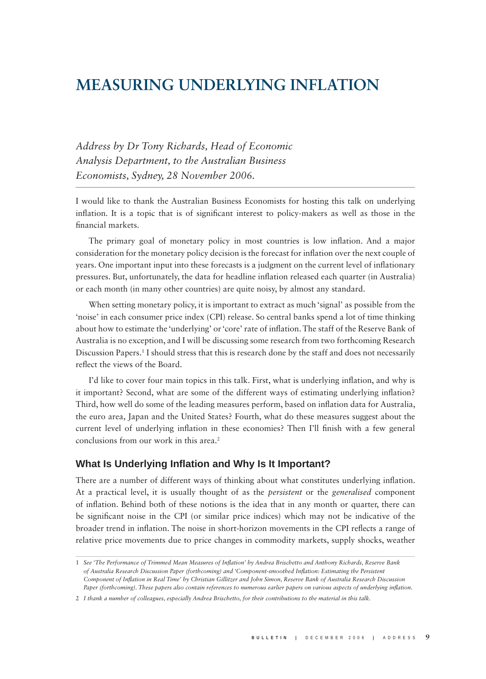# **MEASURING UNDERLYING INFLATION**

*Address by Dr Tony Richards, Head of Economic Analysis Department, to the Australian Business Economists, Sydney, 28 November 2006.*

I would like to thank the Australian Business Economists for hosting this talk on underlying inflation. It is a topic that is of significant interest to policy-makers as well as those in the financial markets.

The primary goal of monetary policy in most countries is low inflation. And a major consideration for the monetary policy decision is the forecast for inflation over the next couple of years. One important input into these forecasts is a judgment on the current level of inflationary pressures. But, unfortunately, the data for headline inflation released each quarter (in Australia) or each month (in many other countries) are quite noisy, by almost any standard.

When setting monetary policy, it is important to extract as much 'signal' as possible from the 'noise' in each consumer price index (CPI) release. So central banks spend a lot of time thinking about how to estimate the 'underlying' or 'core' rate of inflation. The staff of the Reserve Bank of Australia is no exception, and I will be discussing some research from two forthcoming Research Discussion Papers.<sup>1</sup> I should stress that this is research done by the staff and does not necessarily reflect the views of the Board.

I'd like to cover four main topics in this talk. First, what is underlying inflation, and why is it important? Second, what are some of the different ways of estimating underlying inflation? Third, how well do some of the leading measures perform, based on inflation data for Australia, the euro area, Japan and the United States? Fourth, what do these measures suggest about the current level of underlying inflation in these economies? Then I'll finish with a few general conclusions from our work in this area.<sup>2</sup>

## **What Is Underlying Inflation and Why Is It Important?**

There are a number of different ways of thinking about what constitutes underlying inflation. At a practical level, it is usually thought of as the *persistent* or the *generalised* component of infl ation. Behind both of these notions is the idea that in any month or quarter, there can be significant noise in the CPI (or similar price indices) which may not be indicative of the broader trend in inflation. The noise in short-horizon movements in the CPI reflects a range of relative price movements due to price changes in commodity markets, supply shocks, weather

<sup>1</sup> *See 'The Performance of Trimmed Mean Measures of Infl ation' by Andrea Brischetto and Anthony Richards, Reserve Bank of Australia Research Discussion Paper (forthcoming) and 'Component-smoothed Infl ation: Estimating the Persistent Component of Inflation in Real Time' by Christian Gillitzer and John Simon, Reserve Bank of Australia Research Discussion* Paper (forthcoming). These papers also contain references to numerous earlier papers on various aspects of underlying inflation.

<sup>2</sup> *I thank a number of colleagues, especially Andrea Brischetto, for their contributions to the material in this talk.*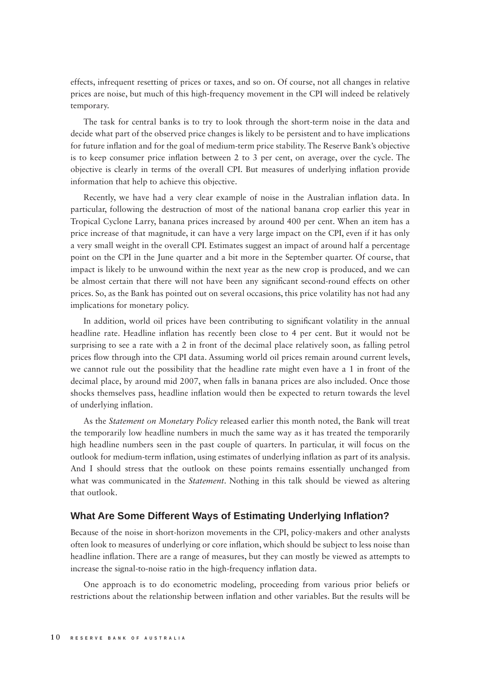effects, infrequent resetting of prices or taxes, and so on. Of course, not all changes in relative prices are noise, but much of this high-frequency movement in the CPI will indeed be relatively temporary.

The task for central banks is to try to look through the short-term noise in the data and decide what part of the observed price changes is likely to be persistent and to have implications for future inflation and for the goal of medium-term price stability. The Reserve Bank's objective is to keep consumer price inflation between 2 to 3 per cent, on average, over the cycle. The objective is clearly in terms of the overall CPI. But measures of underlying inflation provide information that help to achieve this objective.

Recently, we have had a very clear example of noise in the Australian inflation data. In particular, following the destruction of most of the national banana crop earlier this year in Tropical Cyclone Larry, banana prices increased by around 400 per cent. When an item has a price increase of that magnitude, it can have a very large impact on the CPI, even if it has only a very small weight in the overall CPI. Estimates suggest an impact of around half a percentage point on the CPI in the June quarter and a bit more in the September quarter. Of course, that impact is likely to be unwound within the next year as the new crop is produced, and we can be almost certain that there will not have been any significant second-round effects on other prices. So, as the Bank has pointed out on several occasions, this price volatility has not had any implications for monetary policy.

In addition, world oil prices have been contributing to significant volatility in the annual headline rate. Headline inflation has recently been close to 4 per cent. But it would not be surprising to see a rate with a 2 in front of the decimal place relatively soon, as falling petrol prices flow through into the CPI data. Assuming world oil prices remain around current levels, we cannot rule out the possibility that the headline rate might even have a 1 in front of the decimal place, by around mid 2007, when falls in banana prices are also included. Once those shocks themselves pass, headline inflation would then be expected to return towards the level of underlying inflation.

As the *Statement on Monetary Policy* released earlier this month noted, the Bank will treat the temporarily low headline numbers in much the same way as it has treated the temporarily high headline numbers seen in the past couple of quarters. In particular, it will focus on the outlook for medium-term inflation, using estimates of underlying inflation as part of its analysis. And I should stress that the outlook on these points remains essentially unchanged from what was communicated in the *Statement*. Nothing in this talk should be viewed as altering that outlook.

## **What Are Some Different Ways of Estimating Underlying Infl ation?**

Because of the noise in short-horizon movements in the CPI, policy-makers and other analysts often look to measures of underlying or core inflation, which should be subject to less noise than headline inflation. There are a range of measures, but they can mostly be viewed as attempts to increase the signal-to-noise ratio in the high-frequency inflation data.

One approach is to do econometric modeling, proceeding from various prior beliefs or restrictions about the relationship between inflation and other variables. But the results will be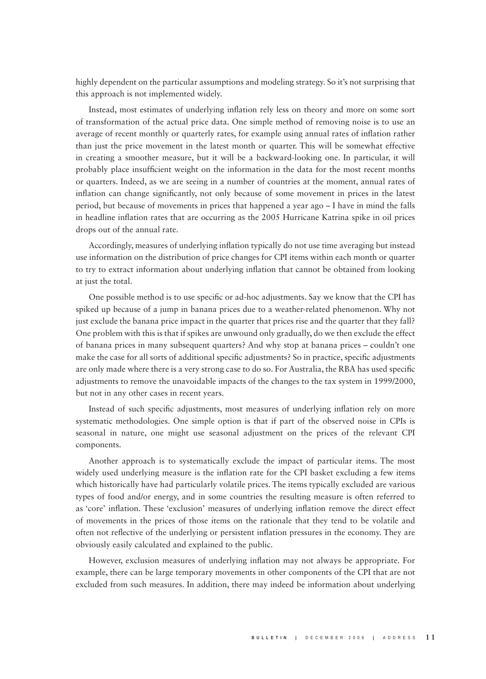highly dependent on the particular assumptions and modeling strategy. So it's not surprising that this approach is not implemented widely.

Instead, most estimates of underlying inflation rely less on theory and more on some sort of transformation of the actual price data. One simple method of removing noise is to use an average of recent monthly or quarterly rates, for example using annual rates of inflation rather than just the price movement in the latest month or quarter. This will be somewhat effective in creating a smoother measure, but it will be a backward-looking one. In particular, it will probably place insufficient weight on the information in the data for the most recent months or quarters. Indeed, as we are seeing in a number of countries at the moment, annual rates of inflation can change significantly, not only because of some movement in prices in the latest period, but because of movements in prices that happened a year ago – I have in mind the falls in headline inflation rates that are occurring as the 2005 Hurricane Katrina spike in oil prices drops out of the annual rate.

Accordingly, measures of underlying inflation typically do not use time averaging but instead use information on the distribution of price changes for CPI items within each month or quarter to try to extract information about underlying inflation that cannot be obtained from looking at just the total.

One possible method is to use specific or ad-hoc adjustments. Say we know that the CPI has spiked up because of a jump in banana prices due to a weather-related phenomenon. Why not just exclude the banana price impact in the quarter that prices rise and the quarter that they fall? One problem with this is that if spikes are unwound only gradually, do we then exclude the effect of banana prices in many subsequent quarters? And why stop at banana prices – couldn't one make the case for all sorts of additional specific adjustments? So in practice, specific adjustments are only made where there is a very strong case to do so. For Australia, the RBA has used specific adjustments to remove the unavoidable impacts of the changes to the tax system in 1999/2000, but not in any other cases in recent years.

Instead of such specific adjustments, most measures of underlying inflation rely on more systematic methodologies. One simple option is that if part of the observed noise in CPIs is seasonal in nature, one might use seasonal adjustment on the prices of the relevant CPI components.

Another approach is to systematically exclude the impact of particular items. The most widely used underlying measure is the inflation rate for the CPI basket excluding a few items which historically have had particularly volatile prices. The items typically excluded are various types of food and/or energy, and in some countries the resulting measure is often referred to as 'core' inflation. These 'exclusion' measures of underlying inflation remove the direct effect of movements in the prices of those items on the rationale that they tend to be volatile and often not reflective of the underlying or persistent inflation pressures in the economy. They are obviously easily calculated and explained to the public.

However, exclusion measures of underlying inflation may not always be appropriate. For example, there can be large temporary movements in other components of the CPI that are not excluded from such measures. In addition, there may indeed be information about underlying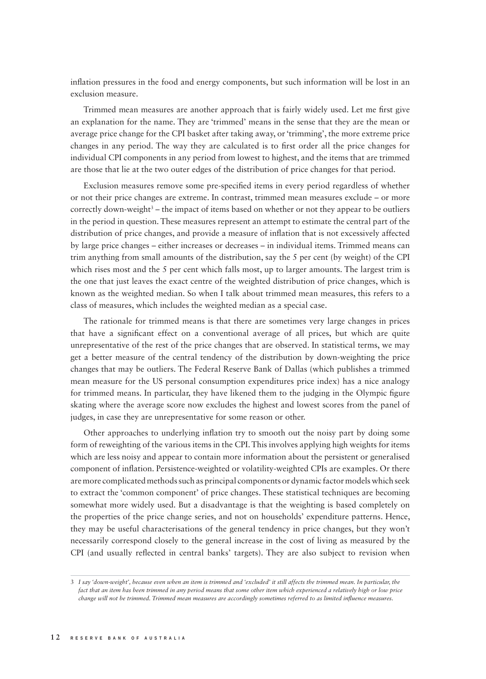inflation pressures in the food and energy components, but such information will be lost in an exclusion measure.

Trimmed mean measures are another approach that is fairly widely used. Let me first give an explanation for the name. They are 'trimmed' means in the sense that they are the mean or average price change for the CPI basket after taking away, or 'trimming', the more extreme price changes in any period. The way they are calculated is to first order all the price changes for individual CPI components in any period from lowest to highest, and the items that are trimmed are those that lie at the two outer edges of the distribution of price changes for that period.

Exclusion measures remove some pre-specified items in every period regardless of whether or not their price changes are extreme. In contrast, trimmed mean measures exclude – or more correctly down-weight<sup>3</sup> – the impact of items based on whether or not they appear to be outliers in the period in question. These measures represent an attempt to estimate the central part of the distribution of price changes, and provide a measure of inflation that is not excessively affected by large price changes – either increases or decreases – in individual items. Trimmed means can trim anything from small amounts of the distribution, say the 5 per cent (by weight) of the CPI which rises most and the 5 per cent which falls most, up to larger amounts. The largest trim is the one that just leaves the exact centre of the weighted distribution of price changes, which is known as the weighted median. So when I talk about trimmed mean measures, this refers to a class of measures, which includes the weighted median as a special case.

The rationale for trimmed means is that there are sometimes very large changes in prices that have a significant effect on a conventional average of all prices, but which are quite unrepresentative of the rest of the price changes that are observed. In statistical terms, we may get a better measure of the central tendency of the distribution by down-weighting the price changes that may be outliers. The Federal Reserve Bank of Dallas (which publishes a trimmed mean measure for the US personal consumption expenditures price index) has a nice analogy for trimmed means. In particular, they have likened them to the judging in the Olympic figure skating where the average score now excludes the highest and lowest scores from the panel of judges, in case they are unrepresentative for some reason or other.

Other approaches to underlying inflation try to smooth out the noisy part by doing some form of reweighting of the various items in the CPI. This involves applying high weights for items which are less noisy and appear to contain more information about the persistent or generalised component of inflation. Persistence-weighted or volatility-weighted CPIs are examples. Or there are more complicated methods such as principal components or dynamic factor models which seek to extract the 'common component' of price changes. These statistical techniques are becoming somewhat more widely used. But a disadvantage is that the weighting is based completely on the properties of the price change series, and not on households' expenditure patterns. Hence, they may be useful characterisations of the general tendency in price changes, but they won't necessarily correspond closely to the general increase in the cost of living as measured by the CPI (and usually reflected in central banks' targets). They are also subject to revision when

<sup>3</sup> *I say 'down-weight', because even when an item is trimmed and 'excluded' it still affects the trimmed mean. In particular, the fact that an item has been trimmed in any period means that some other item which experienced a relatively high or low price change will not be trimmed. Trimmed mean measures are accordingly sometimes referred to as limited infl uence measures.*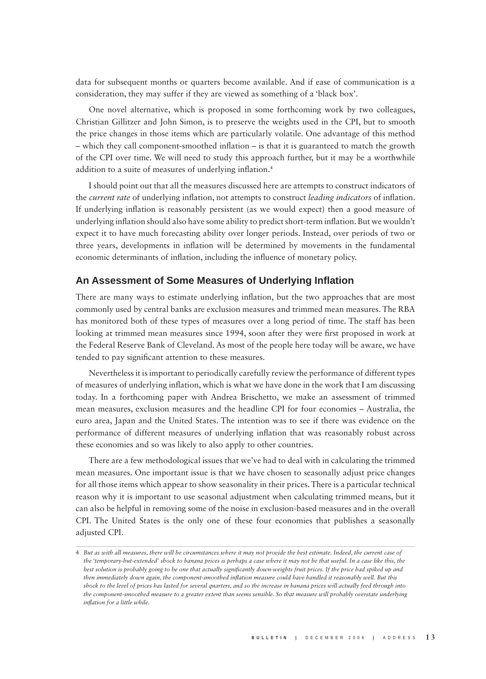data for subsequent months or quarters become available. And if ease of communication is a consideration, they may suffer if they are viewed as something of a 'black box'.

One novel alternative, which is proposed in some forthcoming work by two colleagues, Christian Gillitzer and John Simon, is to preserve the weights used in the CPI, but to smooth the price changes in those items which are particularly volatile. One advantage of this method  $-$  which they call component-smoothed inflation  $-$  is that it is guaranteed to match the growth of the CPI over time. We will need to study this approach further, but it may be a worthwhile addition to a suite of measures of underlying inflation.<sup>4</sup>

I should point out that all the measures discussed here are attempts to construct indicators of the *current rate* of underlying inflation, not attempts to construct *leading indicators* of inflation. If underlying inflation is reasonably persistent (as we would expect) then a good measure of underlying inflation should also have some ability to predict short-term inflation. But we wouldn't expect it to have much forecasting ability over longer periods. Instead, over periods of two or three years, developments in inflation will be determined by movements in the fundamental economic determinants of inflation, including the influence of monetary policy.

#### **An Assessment of Some Measures of Underlying Infl ation**

There are many ways to estimate underlying inflation, but the two approaches that are most commonly used by central banks are exclusion measures and trimmed mean measures. The RBA has monitored both of these types of measures over a long period of time. The staff has been looking at trimmed mean measures since 1994, soon after they were first proposed in work at the Federal Reserve Bank of Cleveland. As most of the people here today will be aware, we have tended to pay significant attention to these measures.

Nevertheless it is important to periodically carefully review the performance of different types of measures of underlying inflation, which is what we have done in the work that I am discussing today. In a forthcoming paper with Andrea Brischetto, we make an assessment of trimmed mean measures, exclusion measures and the headline CPI for four economies – Australia, the euro area, Japan and the United States. The intention was to see if there was evidence on the performance of different measures of underlying inflation that was reasonably robust across these economies and so was likely to also apply to other countries.

There are a few methodological issues that we've had to deal with in calculating the trimmed mean measures. One important issue is that we have chosen to seasonally adjust price changes for all those items which appear to show seasonality in their prices. There is a particular technical reason why it is important to use seasonal adjustment when calculating trimmed means, but it can also be helpful in removing some of the noise in exclusion-based measures and in the overall CPI. The United States is the only one of these four economies that publishes a seasonally adjusted CPI.

<sup>4</sup> *But as with all measures, there will be circumstances where it may not provide the best estimate. Indeed, the current case of the 'temporary-but-extended' shock to banana prices is perhaps a case where it may not be that useful. In a case like this, the best solution is probably going to be one that actually significantly down-weights fruit prices. If the price had spiked up and then immediately down again, the component-smoothed inflation measure could have handled it reasonably well. But this shock to the level of prices has lasted for several quarters, and so the increase in banana prices will actually feed through into the component-smoothed measure to a greater extent than seems sensible. So that measure will probably overstate underlying infl ation for a little while.*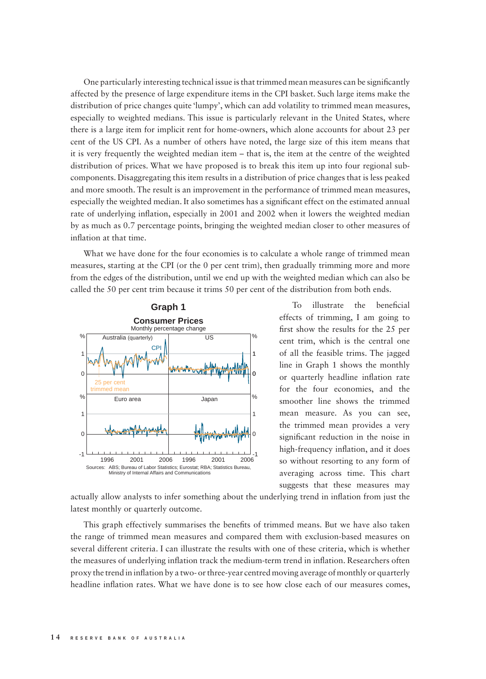One particularly interesting technical issue is that trimmed mean measures can be significantly affected by the presence of large expenditure items in the CPI basket. Such large items make the distribution of price changes quite 'lumpy', which can add volatility to trimmed mean measures, especially to weighted medians. This issue is particularly relevant in the United States, where there is a large item for implicit rent for home-owners, which alone accounts for about 23 per cent of the US CPI. As a number of others have noted, the large size of this item means that it is very frequently the weighted median item – that is, the item at the centre of the weighted distribution of prices. What we have proposed is to break this item up into four regional subcomponents. Disaggregating this item results in a distribution of price changes that is less peaked and more smooth. The result is an improvement in the performance of trimmed mean measures, especially the weighted median. It also sometimes has a significant effect on the estimated annual rate of underlying inflation, especially in 2001 and 2002 when it lowers the weighted median by as much as 0.7 percentage points, bringing the weighted median closer to other measures of inflation at that time.

What we have done for the four economies is to calculate a whole range of trimmed mean measures, starting at the CPI (or the 0 per cent trim), then gradually trimming more and more from the edges of the distribution, until we end up with the weighted median which can also be called the 50 per cent trim because it trims 50 per cent of the distribution from both ends.



To illustrate the beneficial effects of trimming, I am going to first show the results for the 25 per cent trim, which is the central one of all the feasible trims. The jagged line in Graph 1 shows the monthly or quarterly headline inflation rate for the four economies, and the smoother line shows the trimmed mean measure. As you can see, the trimmed mean provides a very significant reduction in the noise in high-frequency inflation, and it does so without resorting to any form of averaging across time. This chart suggests that these measures may

actually allow analysts to infer something about the underlying trend in inflation from just the latest monthly or quarterly outcome.

This graph effectively summarises the benefits of trimmed means. But we have also taken the range of trimmed mean measures and compared them with exclusion-based measures on several different criteria. I can illustrate the results with one of these criteria, which is whether the measures of underlying inflation track the medium-term trend in inflation. Researchers often proxy the trend in infl ation by a two- or three-year centred moving average of monthly or quarterly headline inflation rates. What we have done is to see how close each of our measures comes,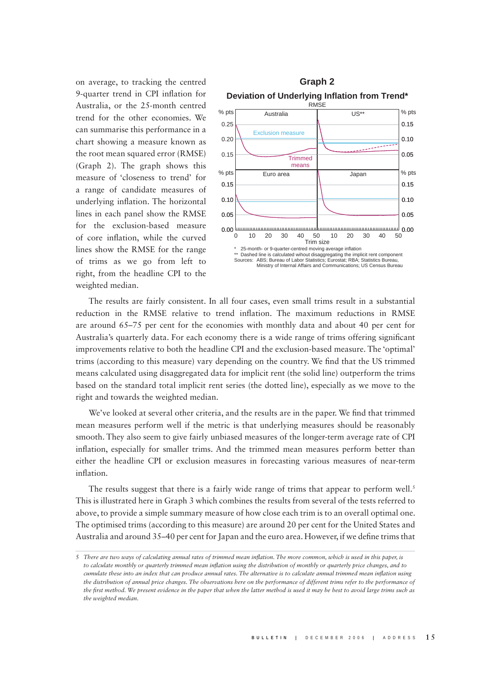on average, to tracking the centred 9-quarter trend in CPI inflation for Australia, or the 25-month centred trend for the other economies. We can summarise this performance in a chart showing a measure known as the root mean squared error (RMSE) (Graph 2). The graph shows this measure of 'closeness to trend' for a range of candidate measures of underlying inflation. The horizontal lines in each panel show the RMSE for the exclusion-based measure of core inflation, while the curved lines show the RMSE for the range of trims as we go from left to right, from the headline CPI to the weighted median.



The results are fairly consistent. In all four cases, even small trims result in a substantial reduction in the RMSE relative to trend inflation. The maximum reductions in RMSE are around 65–75 per cent for the economies with monthly data and about 40 per cent for Australia's quarterly data. For each economy there is a wide range of trims offering significant improvements relative to both the headline CPI and the exclusion-based measure. The 'optimal' trims (according to this measure) vary depending on the country. We find that the US trimmed means calculated using disaggregated data for implicit rent (the solid line) outperform the trims based on the standard total implicit rent series (the dotted line), especially as we move to the right and towards the weighted median.

We've looked at several other criteria, and the results are in the paper. We find that trimmed mean measures perform well if the metric is that underlying measures should be reasonably smooth. They also seem to give fairly unbiased measures of the longer-term average rate of CPI inflation, especially for smaller trims. And the trimmed mean measures perform better than either the headline CPI or exclusion measures in forecasting various measures of near-term inflation.

The results suggest that there is a fairly wide range of trims that appear to perform well.<sup>5</sup> This is illustrated here in Graph 3 which combines the results from several of the tests referred to above, to provide a simple summary measure of how close each trim is to an overall optimal one. The optimised trims (according to this measure) are around 20 per cent for the United States and Australia and around 35–40 per cent for Japan and the euro area. However, if we define trims that

<sup>5</sup> *There are two ways of calculating annual rates of trimmed mean inflation. The more common, which is used in this paper, is to calculate monthly or quarterly trimmed mean infl ation using the distribution of monthly or quarterly price changes, and to cumulate these into an index that can produce annual rates. The alternative is to calculate annual trimmed mean inflation using* the distribution of annual price changes. The observations here on the performance of different trims refer to the performance of the first method. We present evidence in the paper that when the latter method is used it may be best to avoid large trims such as *the weighted median.*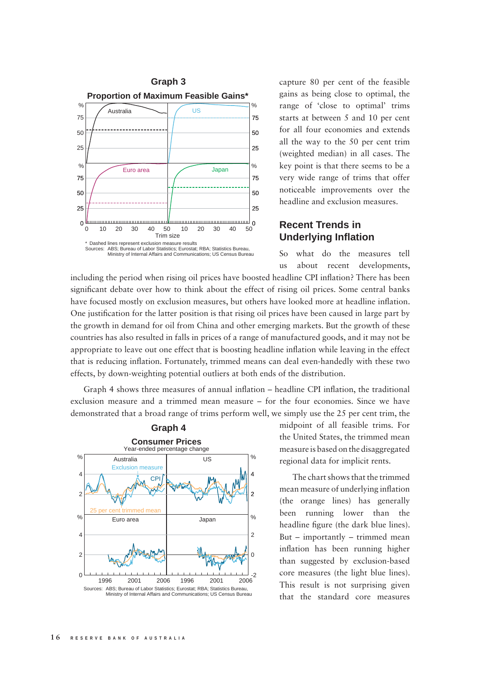

capture 80 per cent of the feasible gains as being close to optimal, the range of 'close to optimal' trims starts at between 5 and 10 per cent for all four economies and extends all the way to the 50 per cent trim (weighted median) in all cases. The key point is that there seems to be a very wide range of trims that offer noticeable improvements over the headline and exclusion measures.

# **Recent Trends in Underlying Infl ation**

So what do the measures tell us about recent developments,

including the period when rising oil prices have boosted headline CPI inflation? There has been significant debate over how to think about the effect of rising oil prices. Some central banks have focused mostly on exclusion measures, but others have looked more at headline inflation. One justification for the latter position is that rising oil prices have been caused in large part by the growth in demand for oil from China and other emerging markets. But the growth of these countries has also resulted in falls in prices of a range of manufactured goods, and it may not be appropriate to leave out one effect that is boosting headline inflation while leaving in the effect that is reducing inflation. Fortunately, trimmed means can deal even-handedly with these two effects, by down-weighting potential outliers at both ends of the distribution.

Graph 4 shows three measures of annual inflation – headline CPI inflation, the traditional exclusion measure and a trimmed mean measure – for the four economies. Since we have demonstrated that a broad range of trims perform well, we simply use the 25 per cent trim, the



midpoint of all feasible trims. For the United States, the trimmed mean measure is based on the disaggregated regional data for implicit rents.

The chart shows that the trimmed mean measure of underlying inflation (the orange lines) has generally been running lower than the headline figure (the dark blue lines). But – importantly – trimmed mean inflation has been running higher than suggested by exclusion-based core measures (the light blue lines). This result is not surprising given that the standard core measures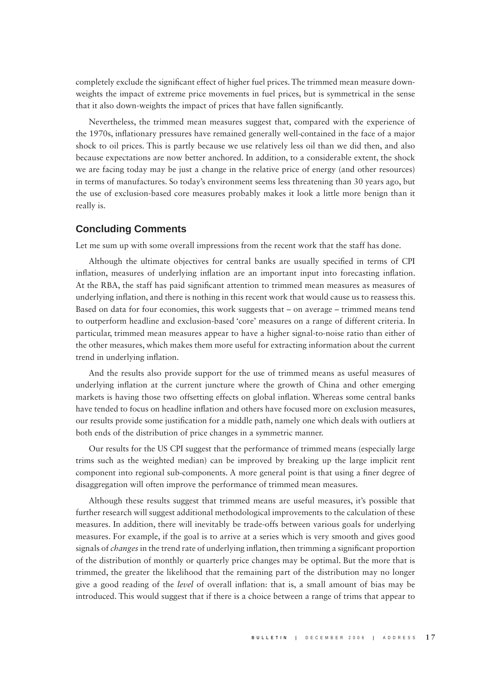completely exclude the significant effect of higher fuel prices. The trimmed mean measure downweights the impact of extreme price movements in fuel prices, but is symmetrical in the sense that it also down-weights the impact of prices that have fallen significantly.

Nevertheless, the trimmed mean measures suggest that, compared with the experience of the 1970s, inflationary pressures have remained generally well-contained in the face of a major shock to oil prices. This is partly because we use relatively less oil than we did then, and also because expectations are now better anchored. In addition, to a considerable extent, the shock we are facing today may be just a change in the relative price of energy (and other resources) in terms of manufactures. So today's environment seems less threatening than 30 years ago, but the use of exclusion-based core measures probably makes it look a little more benign than it really is.

#### **Concluding Comments**

Let me sum up with some overall impressions from the recent work that the staff has done.

Although the ultimate objectives for central banks are usually specified in terms of CPI inflation, measures of underlying inflation are an important input into forecasting inflation. At the RBA, the staff has paid significant attention to trimmed mean measures as measures of underlying inflation, and there is nothing in this recent work that would cause us to reassess this. Based on data for four economies, this work suggests that – on average – trimmed means tend to outperform headline and exclusion-based 'core' measures on a range of different criteria. In particular, trimmed mean measures appear to have a higher signal-to-noise ratio than either of the other measures, which makes them more useful for extracting information about the current trend in underlying inflation.

And the results also provide support for the use of trimmed means as useful measures of underlying inflation at the current juncture where the growth of China and other emerging markets is having those two offsetting effects on global inflation. Whereas some central banks have tended to focus on headline inflation and others have focused more on exclusion measures, our results provide some justification for a middle path, namely one which deals with outliers at both ends of the distribution of price changes in a symmetric manner.

Our results for the US CPI suggest that the performance of trimmed means (especially large trims such as the weighted median) can be improved by breaking up the large implicit rent component into regional sub-components. A more general point is that using a finer degree of disaggregation will often improve the performance of trimmed mean measures.

Although these results suggest that trimmed means are useful measures, it's possible that further research will suggest additional methodological improvements to the calculation of these measures. In addition, there will inevitably be trade-offs between various goals for underlying measures. For example, if the goal is to arrive at a series which is very smooth and gives good signals of *changes* in the trend rate of underlying inflation, then trimming a significant proportion of the distribution of monthly or quarterly price changes may be optimal. But the more that is trimmed, the greater the likelihood that the remaining part of the distribution may no longer give a good reading of the *level* of overall inflation: that is, a small amount of bias may be introduced. This would suggest that if there is a choice between a range of trims that appear to